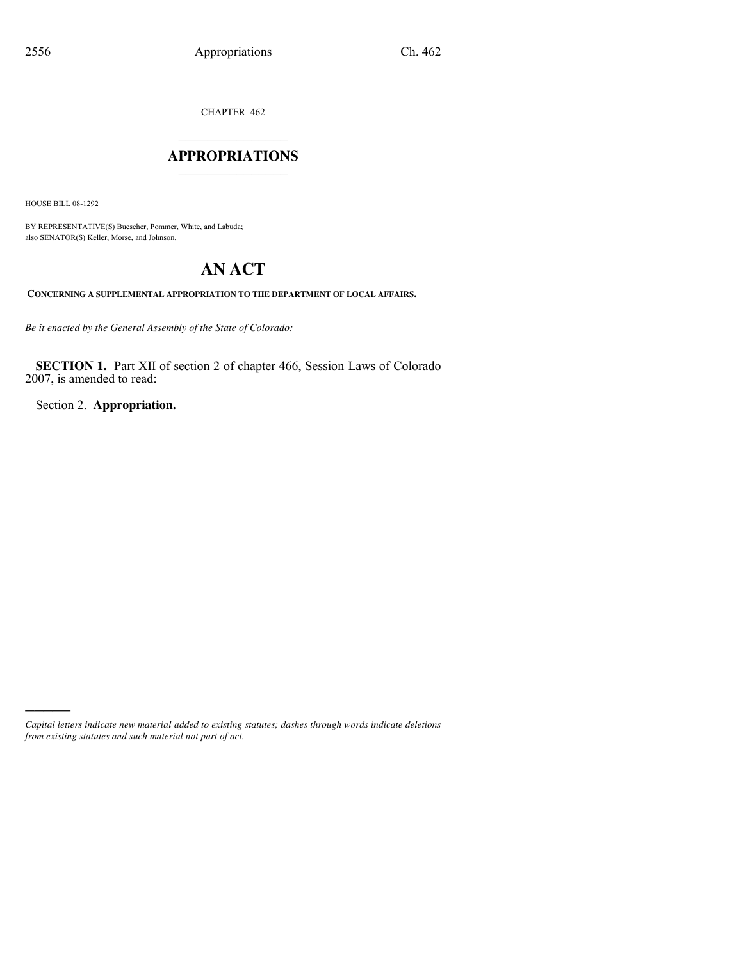CHAPTER 462

## $\mathcal{L}$  , we have the set of the set of the set of the set of the set of the set of the set of the set of the set of the set of the set of the set of the set of the set of the set of the set of the set of the set of the **APPROPRIATIONS** \_\_\_\_\_\_\_\_\_\_\_\_\_\_\_

HOUSE BILL 08-1292

)))))

BY REPRESENTATIVE(S) Buescher, Pommer, White, and Labuda; also SENATOR(S) Keller, Morse, and Johnson.

# **AN ACT**

**CONCERNING A SUPPLEMENTAL APPROPRIATION TO THE DEPARTMENT OF LOCAL AFFAIRS.**

*Be it enacted by the General Assembly of the State of Colorado:*

**SECTION 1.** Part XII of section 2 of chapter 466, Session Laws of Colorado 2007, is amended to read:

Section 2. **Appropriation.**

*Capital letters indicate new material added to existing statutes; dashes through words indicate deletions from existing statutes and such material not part of act.*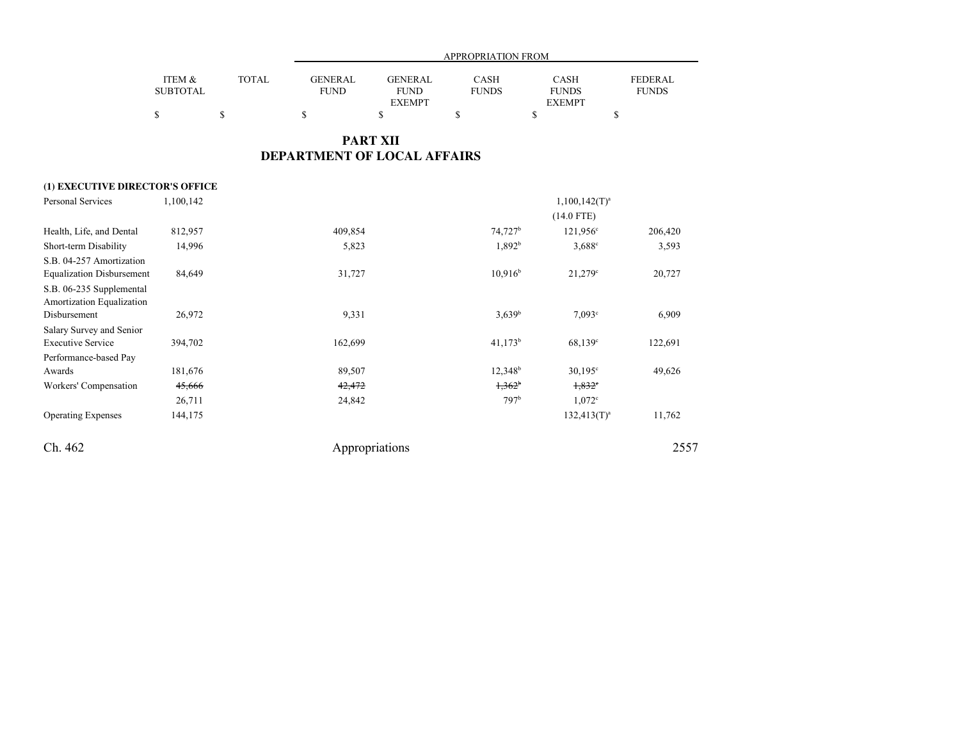|                                                       |                           |                                             | <b>APPROPRIATION FROM</b>     |                                                |                             |                                              |                                |  |
|-------------------------------------------------------|---------------------------|---------------------------------------------|-------------------------------|------------------------------------------------|-----------------------------|----------------------------------------------|--------------------------------|--|
|                                                       | ITEM &<br><b>SUBTOTAL</b> | <b>TOTAL</b>                                | <b>GENERAL</b><br><b>FUND</b> | <b>GENERAL</b><br><b>FUND</b><br><b>EXEMPT</b> | <b>CASH</b><br><b>FUNDS</b> | <b>CASH</b><br><b>FUNDS</b><br><b>EXEMPT</b> | <b>FEDERAL</b><br><b>FUNDS</b> |  |
|                                                       | \$                        | $\mathbb{S}% _{n}^{X\rightarrow\mathbb{R}}$ | $\mathbb{S}$                  | \$                                             | \$                          | \$<br>\$                                     |                                |  |
|                                                       |                           |                                             |                               | <b>PART XII</b>                                |                             |                                              |                                |  |
|                                                       |                           |                                             | DEPARTMENT OF LOCAL AFFAIRS   |                                                |                             |                                              |                                |  |
| (1) EXECUTIVE DIRECTOR'S OFFICE                       |                           |                                             |                               |                                                |                             |                                              |                                |  |
| <b>Personal Services</b>                              | 1,100,142                 |                                             |                               |                                                |                             | $1,100,142(T)^a$                             |                                |  |
|                                                       |                           |                                             |                               |                                                |                             | $(14.0$ FTE)                                 |                                |  |
| Health, Life, and Dental                              | 812,957                   |                                             | 409,854                       |                                                | 74,727 <sup>b</sup>         | $121,956^{\circ}$                            | 206,420                        |  |
| Short-term Disability                                 | 14,996                    |                                             | 5,823                         |                                                | 1,892 <sup>b</sup>          | $3,688^{\circ}$                              | 3,593                          |  |
| S.B. 04-257 Amortization                              |                           |                                             |                               |                                                |                             |                                              |                                |  |
| <b>Equalization Disbursement</b>                      | 84,649                    |                                             | 31,727                        |                                                | 10.916 <sup>b</sup>         | $21,279$ <sup>c</sup>                        | 20,727                         |  |
| S.B. 06-235 Supplemental<br>Amortization Equalization |                           |                                             |                               |                                                |                             |                                              |                                |  |
| Disbursement                                          | 26,972                    |                                             | 9,331                         |                                                | $3,639^b$                   | 7.093c                                       | 6,909                          |  |
| Salary Survey and Senior                              |                           |                                             |                               |                                                |                             |                                              |                                |  |
| <b>Executive Service</b>                              | 394,702                   |                                             | 162,699                       |                                                | $41,173^b$                  | 68,139 <sup>c</sup>                          | 122,691                        |  |
| Performance-based Pay                                 |                           |                                             |                               |                                                |                             |                                              |                                |  |
| Awards                                                | 181,676                   |                                             | 89,507                        |                                                | $12,348^b$                  | $30,195^{\circ}$                             | 49,626                         |  |
| Workers' Compensation                                 | 45,666                    |                                             | 42,472                        |                                                | $1,362^b$                   | $1,832$ <sup>c</sup>                         |                                |  |
|                                                       | 26,711                    |                                             | 24,842                        |                                                | 797 <sup>b</sup>            | 1.072c                                       |                                |  |
| <b>Operating Expenses</b>                             | 144,175                   |                                             |                               |                                                |                             | $132,413(T)^{a}$                             | 11,762                         |  |
| Ch. 462                                               |                           |                                             |                               | Appropriations                                 |                             |                                              | 2557                           |  |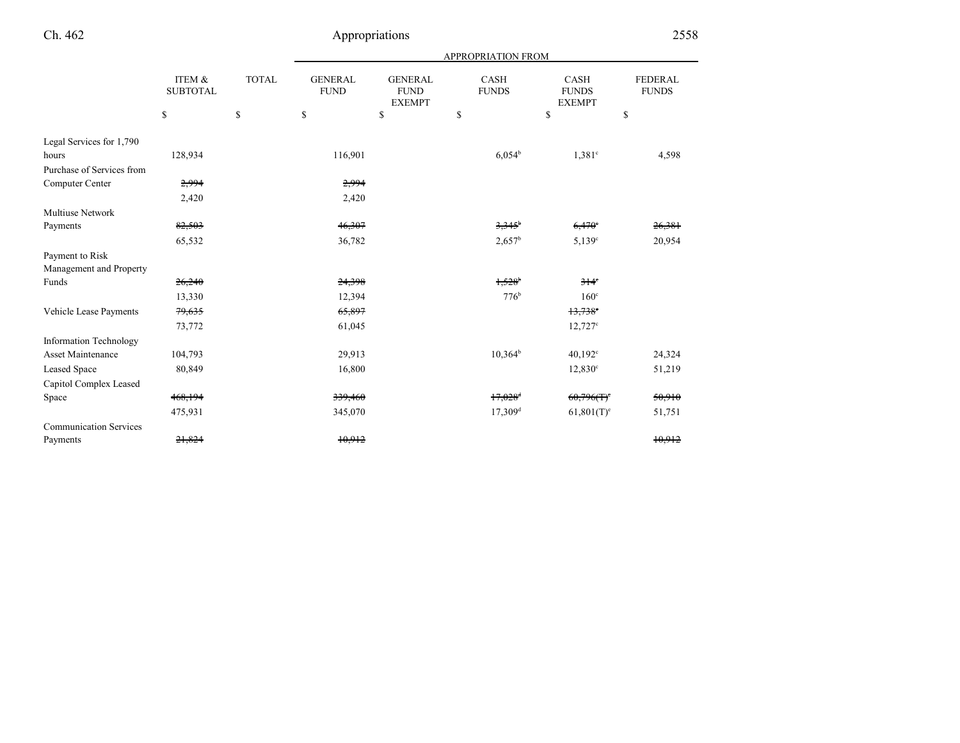# Ch. 462

|                               |                           |              | <b>APPROPRIATION FROM</b>     |                                                |                             |                                       |                                |  |
|-------------------------------|---------------------------|--------------|-------------------------------|------------------------------------------------|-----------------------------|---------------------------------------|--------------------------------|--|
|                               | ITEM &<br><b>SUBTOTAL</b> | <b>TOTAL</b> | <b>GENERAL</b><br><b>FUND</b> | <b>GENERAL</b><br><b>FUND</b><br><b>EXEMPT</b> | <b>CASH</b><br><b>FUNDS</b> | CASH<br><b>FUNDS</b><br><b>EXEMPT</b> | <b>FEDERAL</b><br><b>FUNDS</b> |  |
|                               | \$                        | \$           | \$                            | <sup>\$</sup>                                  | $\mathbb{S}$                | \$                                    | \$                             |  |
| Legal Services for 1,790      |                           |              |                               |                                                |                             |                                       |                                |  |
| hours                         | 128,934                   |              | 116,901                       |                                                | $6,054^b$                   | $1,381$ <sup>c</sup>                  | 4,598                          |  |
| Purchase of Services from     |                           |              |                               |                                                |                             |                                       |                                |  |
| Computer Center               | 2,994                     |              | 2,994                         |                                                |                             |                                       |                                |  |
|                               | 2,420                     |              | 2,420                         |                                                |                             |                                       |                                |  |
| <b>Multiuse Network</b>       |                           |              |                               |                                                |                             |                                       |                                |  |
| Payments                      | 82,503                    |              | 46,307                        |                                                | $3,345$ <sup>b</sup>        | 6,470°                                | 26,381                         |  |
|                               | 65,532                    |              | 36,782                        |                                                | $2,657^b$                   | $5,139^{\circ}$                       | 20,954                         |  |
| Payment to Risk               |                           |              |                               |                                                |                             |                                       |                                |  |
| Management and Property       |                           |              |                               |                                                |                             |                                       |                                |  |
| Funds                         | 26,240                    |              | 24,398                        |                                                | 1,528                       | $314^\circ$                           |                                |  |
|                               | 13,330                    |              | 12,394                        |                                                | 776 <sup>b</sup>            | $160^\circ$                           |                                |  |
| Vehicle Lease Payments        | 79,635                    |              | 65,897                        |                                                |                             | $13,738$ <sup>c</sup>                 |                                |  |
|                               | 73,772                    |              | 61,045                        |                                                |                             | $12,727^{\circ}$                      |                                |  |
| <b>Information Technology</b> |                           |              |                               |                                                |                             |                                       |                                |  |
| Asset Maintenance             | 104,793                   |              | 29,913                        |                                                | $10,364^b$                  | $40,192^{\circ}$                      | 24,324                         |  |
| Leased Space                  | 80,849                    |              | 16,800                        |                                                |                             | $12,830^{\circ}$                      | 51,219                         |  |
| Capitol Complex Leased        |                           |              |                               |                                                |                             |                                       |                                |  |
| Space                         | 468,194                   |              | 339,460                       |                                                | $17,028$ <sup>d</sup>       | $60,796(f)^e$                         | 50,910                         |  |
|                               | 475,931                   |              | 345,070                       |                                                | $17,309$ <sup>d</sup>       | $61,801(T)$ <sup>e</sup>              | 51,751                         |  |
| <b>Communication Services</b> |                           |              |                               |                                                |                             |                                       |                                |  |
| Payments                      | 21,824                    |              | 10,912                        |                                                |                             |                                       | 10.912                         |  |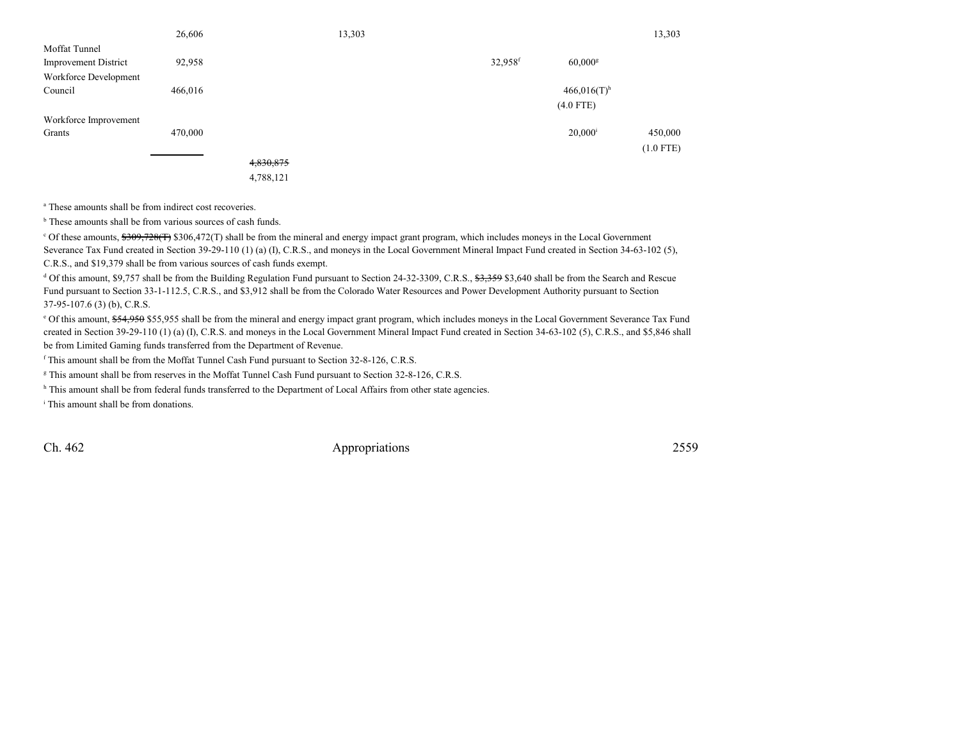|                             | 26,606  |           | 13,303 |         |                           | 13,303      |
|-----------------------------|---------|-----------|--------|---------|---------------------------|-------------|
| Moffat Tunnel               |         |           |        |         |                           |             |
| <b>Improvement District</b> | 92,958  |           |        | 32,958f | $60,000$ <sup>g</sup>     |             |
| Workforce Development       |         |           |        |         |                           |             |
| Council                     | 466,016 |           |        |         | $466,016(T)$ <sup>h</sup> |             |
|                             |         |           |        |         | $(4.0$ FTE)               |             |
| Workforce Improvement       |         |           |        |         |                           |             |
| Grants                      | 470,000 |           |        |         | $20,000^{\rm i}$          | 450,000     |
|                             |         |           |        |         |                           | $(1.0$ FTE) |
|                             |         | 4,830,875 |        |         |                           |             |

4,788,121

<sup>a</sup> These amounts shall be from indirect cost recoveries.

 $<sup>b</sup>$  These amounts shall be from various sources of cash funds.</sup>

 $c$  Of these amounts,  $\frac{1200, 728(17)}{306, 472(1)}$  shall be from the mineral and energy impact grant program, which includes moneys in the Local Government Severance Tax Fund created in Section 39-29-110 (1) (a) (I), C.R.S., and moneys in the Local Government Mineral Impact Fund created in Section 34-63-102 (5),C.R.S., and \$19,379 shall be from various sources of cash funds exempt.

<sup>d</sup> Of this amount, \$9,757 shall be from the Building Regulation Fund pursuant to Section 24-32-3309, C.R.S., \$3,359 \$3,640 shall be from the Search and Rescue Fund pursuant to Section 33-1-112.5, C.R.S., and \$3,912 shall be from the Colorado Water Resources and Power Development Authority pursuant to Section37-95-107.6 (3) (b), C.R.S.

<sup>e</sup> Of this amount, \$54,950 \$55,955 shall be from the mineral and energy impact grant program, which includes moneys in the Local Government Severance Tax Fund created in Section 39-29-110 (1) (a) (I), C.R.S. and moneys in the Local Government Mineral Impact Fund created in Section 34-63-102 (5), C.R.S., and \$5,846 shall be from Limited Gaming funds transferred from the Department of Revenue.

<sup>f</sup> This amount shall be from the Moffat Tunnel Cash Fund pursuant to Section 32-8-126, C.R.S.

<sup>g</sup> This amount shall be from reserves in the Moffat Tunnel Cash Fund pursuant to Section 32-8-126, C.R.S.

<sup>h</sup> This amount shall be from federal funds transferred to the Department of Local Affairs from other state agencies.

<sup>i</sup> This amount shall be from donations.

Ch. 462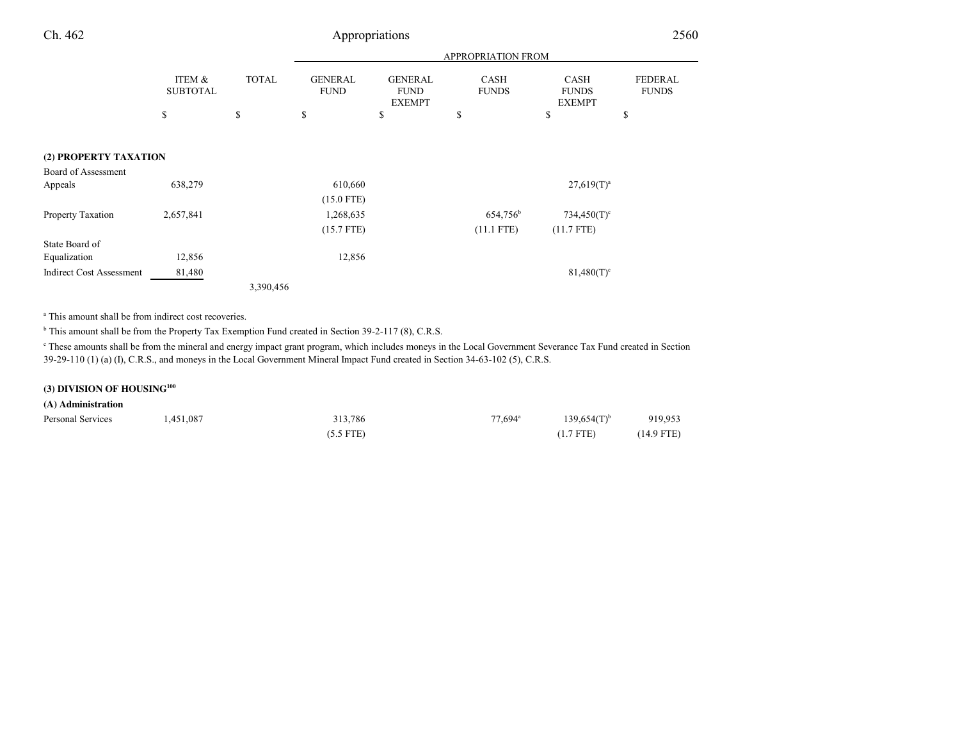## Appropriations 2560

|                                 |                           |              | <b>APPROPRIATION FROM</b>     |                                                |                             |                                              |                                |  |
|---------------------------------|---------------------------|--------------|-------------------------------|------------------------------------------------|-----------------------------|----------------------------------------------|--------------------------------|--|
|                                 | ITEM &<br><b>SUBTOTAL</b> | <b>TOTAL</b> | <b>GENERAL</b><br><b>FUND</b> | <b>GENERAL</b><br><b>FUND</b><br><b>EXEMPT</b> | <b>CASH</b><br><b>FUNDS</b> | <b>CASH</b><br><b>FUNDS</b><br><b>EXEMPT</b> | <b>FEDERAL</b><br><b>FUNDS</b> |  |
|                                 | \$                        | \$           | \$                            | \$                                             | \$                          | \$                                           | \$                             |  |
|                                 |                           |              |                               |                                                |                             |                                              |                                |  |
| (2) PROPERTY TAXATION           |                           |              |                               |                                                |                             |                                              |                                |  |
| Board of Assessment             |                           |              |                               |                                                |                             |                                              |                                |  |
| Appeals                         | 638,279                   |              | 610,660                       |                                                |                             | $27,619(T)^a$                                |                                |  |
|                                 |                           |              | $(15.0$ FTE)                  |                                                |                             |                                              |                                |  |
| Property Taxation               | 2,657,841                 |              | 1,268,635                     |                                                | 654,756 <sup>b</sup>        | $734,450(T)$ <sup>c</sup>                    |                                |  |
|                                 |                           |              | $(15.7$ FTE)                  |                                                | $(11.1$ FTE)                | $(11.7$ FTE)                                 |                                |  |
| State Board of                  |                           |              |                               |                                                |                             |                                              |                                |  |
| Equalization                    | 12,856                    |              | 12,856                        |                                                |                             |                                              |                                |  |
| <b>Indirect Cost Assessment</b> | 81,480                    |              |                               |                                                |                             | $81,480(T)^c$                                |                                |  |
|                                 |                           | 3,390,456    |                               |                                                |                             |                                              |                                |  |

<sup>a</sup> This amount shall be from indirect cost recoveries.

<sup>b</sup> This amount shall be from the Property Tax Exemption Fund created in Section 39-2-117 (8), C.R.S.

c These amounts shall be from the mineral and energy impact grant program, which includes moneys in the Local Government Severance Tax Fund created in Section39-29-110 (1) (a) (I), C.R.S., and moneys in the Local Government Mineral Impact Fund created in Section 34-63-102 (5), C.R.S.

## **(3) DIVISION OF HOUSING<sup>100</sup>**

### **(A) Administration**

| Personal Services | 1,451,087 | 313,786     | $77.694$ <sup>a</sup> | $139.654(T)$ <sup>b</sup> | 919,953      |
|-------------------|-----------|-------------|-----------------------|---------------------------|--------------|
|                   |           | $(5.5$ FTE) |                       | $(1.7$ FTE)               | $(14.9$ FTE) |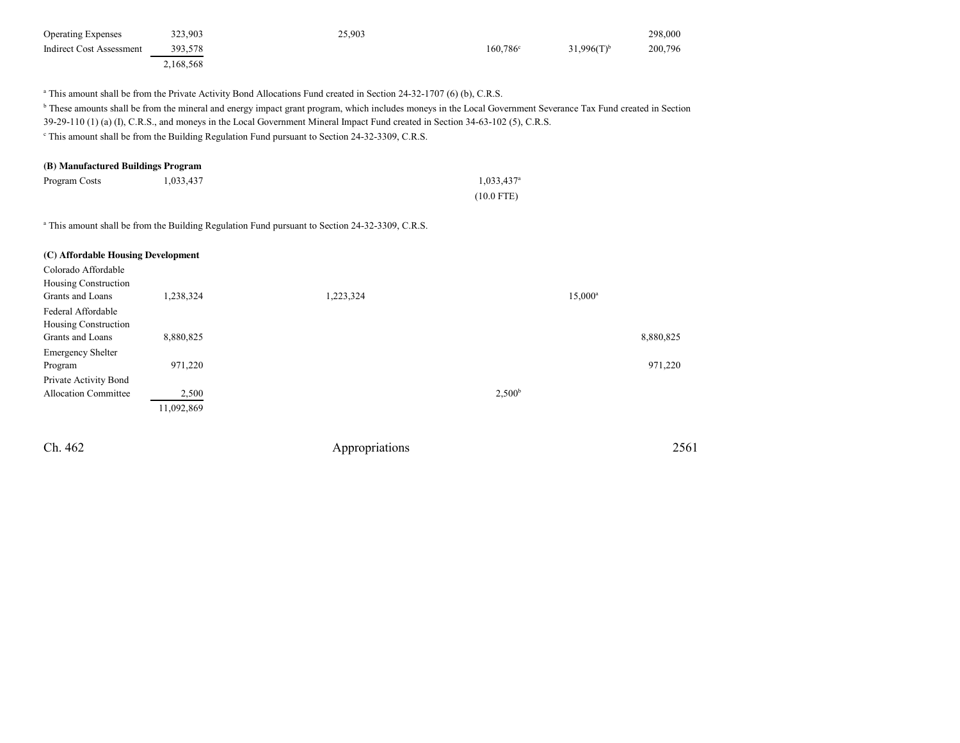| <b>Operating Expenses</b> | 323.903   | 25,903 |                   |                 | 298,000 |
|---------------------------|-----------|--------|-------------------|-----------------|---------|
| Indirect Cost Assessment  | 393.578   |        | $160.786^{\circ}$ | $31.996(T)^{b}$ | 200,796 |
|                           | 2,168,568 |        |                   |                 |         |

<sup>a</sup> This amount shall be from the Private Activity Bond Allocations Fund created in Section 24-32-1707 (6) (b), C.R.S.

<sup>b</sup> These amounts shall be from the mineral and energy impact grant program, which includes moneys in the Local Government Severance Tax Fund created in Section

39-29-110 (1) (a) (I), C.R.S., and moneys in the Local Government Mineral Impact Fund created in Section 34-63-102 (5), C.R.S.

<sup>c</sup> This amount shall be from the Building Regulation Fund pursuant to Section 24-32-3309, C.R.S.

## **(B) Manufactured Buildings Program**

| Program Costs | 1,033,437 | $1,033,437$ <sup>a</sup> |
|---------------|-----------|--------------------------|
|               |           | $(10.0$ FTE)             |

<sup>a</sup> This amount shall be from the Building Regulation Fund pursuant to Section 24-32-3309, C.R.S.

### **(C) Affordable Housing Development**

| Colorado Affordable         |            |           |                    |
|-----------------------------|------------|-----------|--------------------|
| Housing Construction        |            |           |                    |
| Grants and Loans            | .238,324   | 1,223,324 | $15,000^a$         |
| Federal Affordable          |            |           |                    |
| Housing Construction        |            |           |                    |
| Grants and Loans            | 8,880,825  |           | 8,880,825          |
| <b>Emergency Shelter</b>    |            |           |                    |
| Program                     | 971,220    |           | 971,220            |
| Private Activity Bond       |            |           |                    |
| <b>Allocation Committee</b> | 2,500      |           | 2,500 <sup>b</sup> |
|                             | 11,092,869 |           |                    |
|                             |            |           |                    |

Ch. 462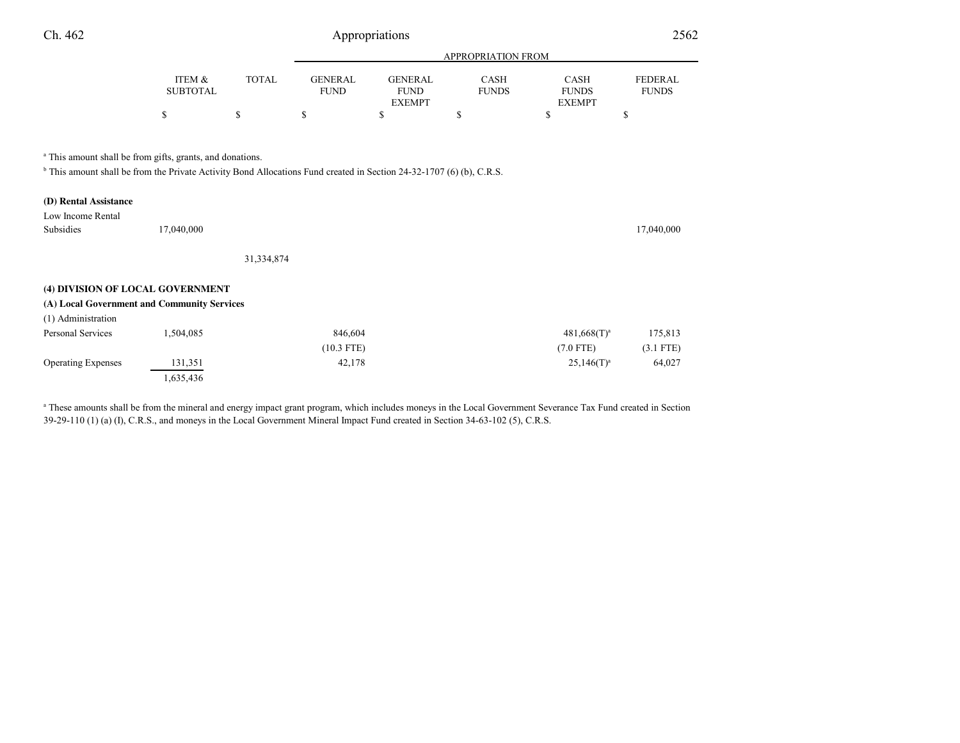| Ch. 462                                    |                                                                                                                                                                                                         |              | Appropriations                |                                                |                             |                                              | 2562                           |  |
|--------------------------------------------|---------------------------------------------------------------------------------------------------------------------------------------------------------------------------------------------------------|--------------|-------------------------------|------------------------------------------------|-----------------------------|----------------------------------------------|--------------------------------|--|
|                                            |                                                                                                                                                                                                         |              |                               |                                                | <b>APPROPRIATION FROM</b>   |                                              |                                |  |
|                                            | ITEM &<br><b>SUBTOTAL</b>                                                                                                                                                                               | <b>TOTAL</b> | <b>GENERAL</b><br><b>FUND</b> | <b>GENERAL</b><br><b>FUND</b><br><b>EXEMPT</b> | <b>CASH</b><br><b>FUNDS</b> | <b>CASH</b><br><b>FUNDS</b><br><b>EXEMPT</b> | <b>FEDERAL</b><br><b>FUNDS</b> |  |
|                                            | ъ                                                                                                                                                                                                       | \$           | S                             | \$                                             | S                           | \$                                           | S                              |  |
|                                            | <sup>a</sup> This amount shall be from gifts, grants, and donations.<br><sup>b</sup> This amount shall be from the Private Activity Bond Allocations Fund created in Section 24-32-1707 (6) (b), C.R.S. |              |                               |                                                |                             |                                              |                                |  |
| (D) Rental Assistance<br>Low Income Rental |                                                                                                                                                                                                         |              |                               |                                                |                             |                                              |                                |  |

| Low Income Rental                           |            |              |                |             |
|---------------------------------------------|------------|--------------|----------------|-------------|
| Subsidies                                   | 17,040,000 |              |                | 17,040,000  |
|                                             |            |              |                |             |
|                                             |            | 31,334,874   |                |             |
|                                             |            |              |                |             |
| (4) DIVISION OF LOCAL GOVERNMENT            |            |              |                |             |
| (A) Local Government and Community Services |            |              |                |             |
| (1) Administration                          |            |              |                |             |
| Personal Services                           | 1,504,085  | 846,604      | $481,668(T)^a$ | 175,813     |
|                                             |            | $(10.3$ FTE) | $(7.0$ FTE)    | $(3.1$ FTE) |
| <b>Operating Expenses</b>                   | 131,351    | 42,178       | $25,146(T)^a$  | 64,027      |
|                                             | 1,635,436  |              |                |             |

<sup>a</sup> These amounts shall be from the mineral and energy impact grant program, which includes moneys in the Local Government Severance Tax Fund created in Section 39-29-110 (1) (a) (I), C.R.S., and moneys in the Local Government Mineral Impact Fund created in Section 34-63-102 (5), C.R.S.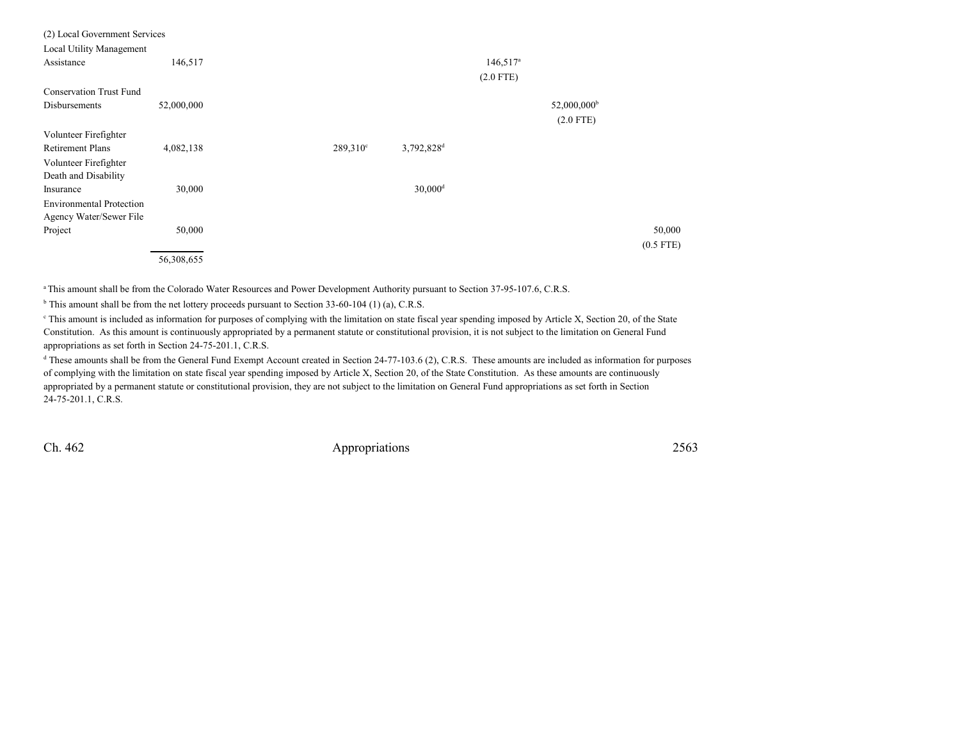| (2) Local Government Services   |            |                   |                        |                        |                         |             |
|---------------------------------|------------|-------------------|------------------------|------------------------|-------------------------|-------------|
| Local Utility Management        |            |                   |                        |                        |                         |             |
| Assistance                      | 146,517    |                   |                        | $146,517$ <sup>a</sup> |                         |             |
|                                 |            |                   |                        | $(2.0$ FTE)            |                         |             |
| <b>Conservation Trust Fund</b>  |            |                   |                        |                        |                         |             |
| Disbursements                   | 52,000,000 |                   |                        |                        | 52,000,000 <sup>b</sup> |             |
|                                 |            |                   |                        |                        | $(2.0$ FTE)             |             |
| Volunteer Firefighter           |            |                   |                        |                        |                         |             |
| <b>Retirement Plans</b>         | 4,082,138  | $289.310^{\circ}$ | 3,792,828 <sup>d</sup> |                        |                         |             |
| Volunteer Firefighter           |            |                   |                        |                        |                         |             |
| Death and Disability            |            |                   |                        |                        |                         |             |
| Insurance                       | 30,000     |                   | $30,000$ <sup>d</sup>  |                        |                         |             |
| <b>Environmental Protection</b> |            |                   |                        |                        |                         |             |
| Agency Water/Sewer File         |            |                   |                        |                        |                         |             |
| Project                         | 50,000     |                   |                        |                        |                         | 50,000      |
|                                 |            |                   |                        |                        |                         | $(0.5$ FTE) |
|                                 | 56,308,655 |                   |                        |                        |                         |             |

a This amount shall be from the Colorado Water Resources and Power Development Authority pursuant to Section 37-95-107.6, C.R.S.

<sup>b</sup> This amount shall be from the net lottery proceeds pursuant to Section 33-60-104 (1) (a), C.R.S.

<sup>e</sup> This amount is included as information for purposes of complying with the limitation on state fiscal year spending imposed by Article X, Section 20, of the State Constitution. As this amount is continuously appropriated by a permanent statute or constitutional provision, it is not subject to the limitation on General Fundappropriations as set forth in Section 24-75-201.1, C.R.S.

<sup>d</sup> These amounts shall be from the General Fund Exempt Account created in Section 24-77-103.6 (2), C.R.S. These amounts are included as information for purposes of complying with the limitation on state fiscal year spending imposed by Article X, Section 20, of the State Constitution. As these amounts are continuouslyappropriated by a permanent statute or constitutional provision, they are not subject to the limitation on General Fund appropriations as set forth in Section24-75-201.1, C.R.S.

Ch. 462

2563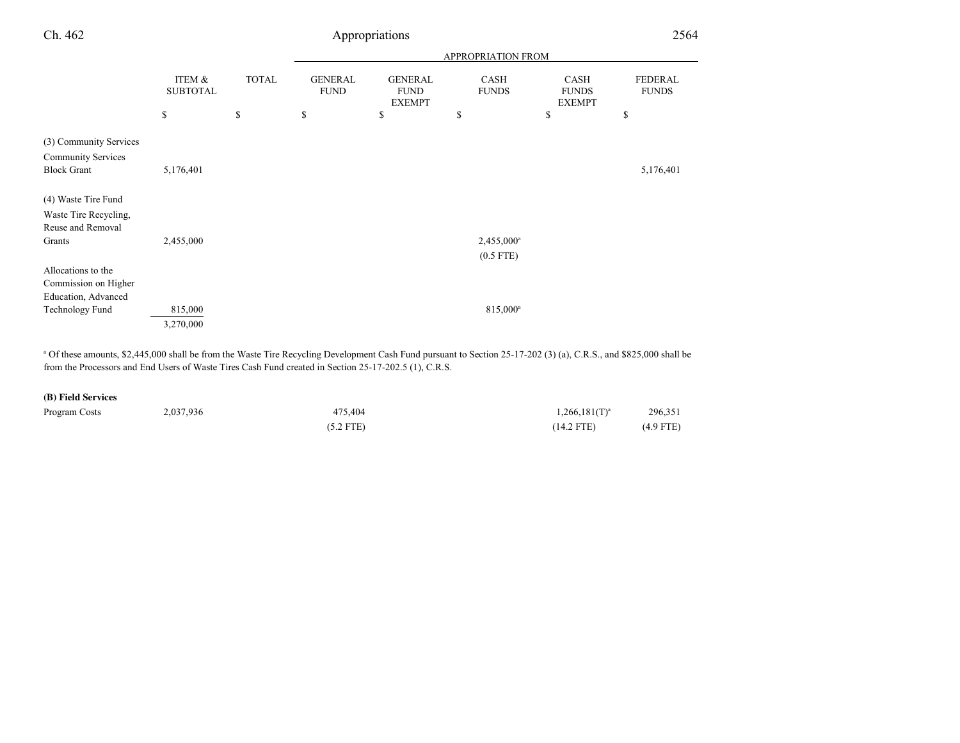| Ch. 462                   | Appropriations            |              |                               |                                                |                             |                                       | 2564                           |  |
|---------------------------|---------------------------|--------------|-------------------------------|------------------------------------------------|-----------------------------|---------------------------------------|--------------------------------|--|
|                           |                           |              | APPROPRIATION FROM            |                                                |                             |                                       |                                |  |
|                           | ITEM &<br><b>SUBTOTAL</b> | <b>TOTAL</b> | <b>GENERAL</b><br><b>FUND</b> | <b>GENERAL</b><br><b>FUND</b><br><b>EXEMPT</b> | <b>CASH</b><br><b>FUNDS</b> | CASH<br><b>FUNDS</b><br><b>EXEMPT</b> | <b>FEDERAL</b><br><b>FUNDS</b> |  |
|                           | \$                        | \$           | \$                            | \$                                             | \$                          | $\mathbf S$                           | \$                             |  |
| (3) Community Services    |                           |              |                               |                                                |                             |                                       |                                |  |
| <b>Community Services</b> |                           |              |                               |                                                |                             |                                       |                                |  |
| <b>Block Grant</b>        | 5,176,401                 |              |                               |                                                |                             |                                       | 5,176,401                      |  |
| (4) Waste Tire Fund       |                           |              |                               |                                                |                             |                                       |                                |  |
| Waste Tire Recycling,     |                           |              |                               |                                                |                             |                                       |                                |  |
| Reuse and Removal         |                           |              |                               |                                                |                             |                                       |                                |  |
| Grants                    | 2,455,000                 |              |                               |                                                | 2,455,000 <sup>a</sup>      |                                       |                                |  |
|                           |                           |              |                               |                                                | $(0.5$ FTE)                 |                                       |                                |  |
| Allocations to the        |                           |              |                               |                                                |                             |                                       |                                |  |
| Commission on Higher      |                           |              |                               |                                                |                             |                                       |                                |  |
| Education, Advanced       |                           |              |                               |                                                |                             |                                       |                                |  |
| <b>Technology Fund</b>    | 815,000                   |              |                               |                                                | 815,000 <sup>a</sup>        |                                       |                                |  |
|                           | 3,270,000                 |              |                               |                                                |                             |                                       |                                |  |

<sup>a</sup> Of these amounts, \$2,445,000 shall be from the Waste Tire Recycling Development Cash Fund pursuant to Section 25-17-202 (3) (a), C.R.S., and \$825,000 shall be from the Processors and End Users of Waste Tires Cash Fund created in Section 25-17-202.5 (1), C.R.S.

## **(B) Field Services**

| Program Costs | 2,037,936 | 475.404     | $1,266,181(T)^{a}$ | 296,351     |
|---------------|-----------|-------------|--------------------|-------------|
|               |           | $(5.2$ FTE) | $(14.2$ FTE)       | $(4.9$ FTE) |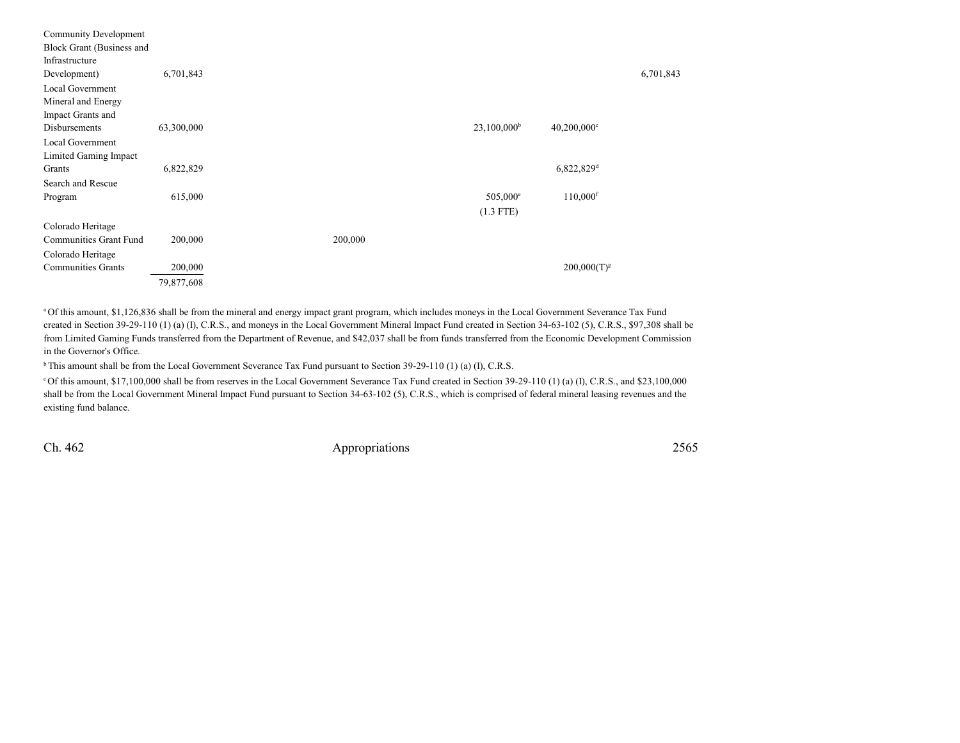| Community Development     |            |         |                           |                           |           |
|---------------------------|------------|---------|---------------------------|---------------------------|-----------|
| Block Grant (Business and |            |         |                           |                           |           |
| Infrastructure            |            |         |                           |                           |           |
| Development)              | 6,701,843  |         |                           |                           | 6,701,843 |
| Local Government          |            |         |                           |                           |           |
| Mineral and Energy        |            |         |                           |                           |           |
| Impact Grants and         |            |         |                           |                           |           |
| Disbursements             | 63,300,000 |         | $23,100,000$ <sup>b</sup> | $40,200,000$ <sup>c</sup> |           |
| Local Government          |            |         |                           |                           |           |
| Limited Gaming Impact     |            |         |                           |                           |           |
| Grants                    | 6,822,829  |         |                           | 6,822,829 <sup>d</sup>    |           |
| Search and Rescue         |            |         |                           |                           |           |
| Program                   | 615,000    |         | 505,000 <sup>e</sup>      | $110,000$ <sup>f</sup>    |           |
|                           |            |         | $(1.3$ FTE)               |                           |           |
| Colorado Heritage         |            |         |                           |                           |           |
| Communities Grant Fund    | 200,000    | 200,000 |                           |                           |           |
| Colorado Heritage         |            |         |                           |                           |           |
| <b>Communities Grants</b> | 200,000    |         |                           | $200,000(T)^{g}$          |           |
|                           | 79,877,608 |         |                           |                           |           |
|                           |            |         |                           |                           |           |

a Of this amount, \$1,126,836 shall be from the mineral and energy impact grant program, which includes moneys in the Local Government Severance Tax Fundcreated in Section 39-29-110 (1) (a) (I), C.R.S., and moneys in the Local Government Mineral Impact Fund created in Section 34-63-102 (5), C.R.S., \$97,308 shall be from Limited Gaming Funds transferred from the Department of Revenue, and \$42,037 shall be from funds transferred from the Economic Development Commissionin the Governor's Office.

<sup>b</sup> This amount shall be from the Local Government Severance Tax Fund pursuant to Section 39-29-110 (1) (a) (I), C.R.S.

c Of this amount, \$17,100,000 shall be from reserves in the Local Government Severance Tax Fund created in Section 39-29-110 (1) (a) (I), C.R.S., and \$23,100,000 shall be from the Local Government Mineral Impact Fund pursuant to Section 34-63-102 (5), C.R.S., which is comprised of federal mineral leasing revenues and theexisting fund balance.

Ch. 462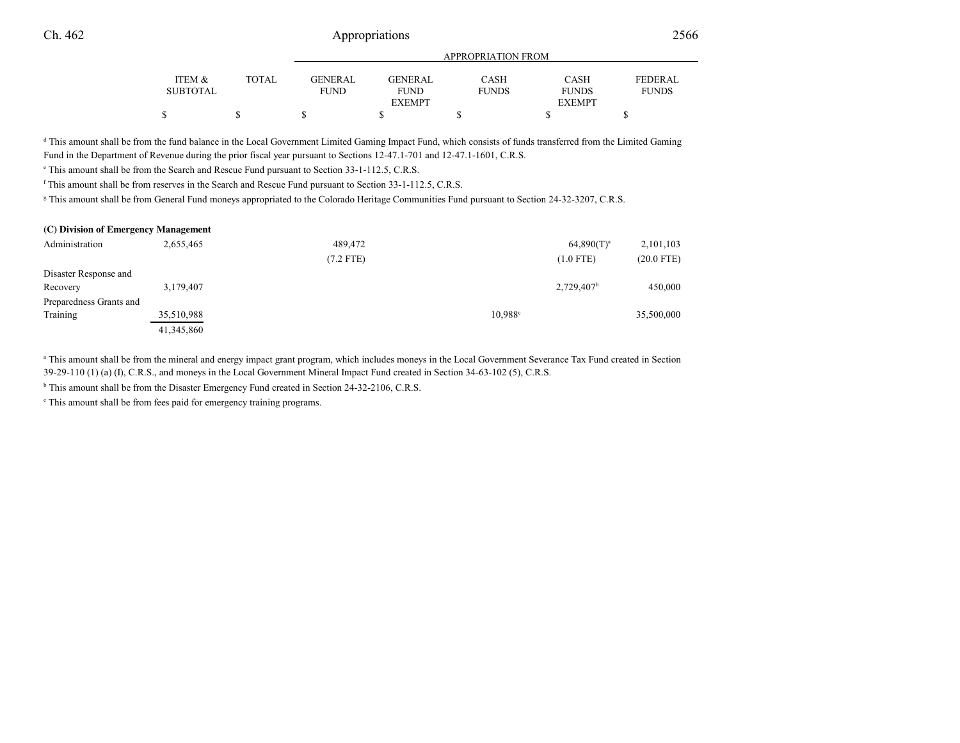## 2566 a.e. the contract of the Appropriations 2566

|                 |              | APPROPRIATION FROM |                              |              |                               |                |  |
|-----------------|--------------|--------------------|------------------------------|--------------|-------------------------------|----------------|--|
| ITEM &          | <b>TOTAL</b> | <b>GENERAL</b>     | GENERAL                      | CASH         | <b>CASH</b>                   | <b>FEDERAL</b> |  |
| <b>SUBTOTAL</b> |              | <b>FUND</b>        | <b>FUND</b><br><b>EXEMPT</b> | <b>FUNDS</b> | <b>FUNDS</b><br><b>EXEMPT</b> | <b>FUNDS</b>   |  |
|                 |              |                    |                              |              |                               |                |  |

<sup>d</sup> This amount shall be from the fund balance in the Local Government Limited Gaming Impact Fund, which consists of funds transferred from the Limited Gaming Fund in the Department of Revenue during the prior fiscal year pursuant to Sections 12-47.1-701 and 12-47.1-1601, C.R.S.

e This amount shall be from the Search and Rescue Fund pursuant to Section 33-1-112.5, C.R.S.

<sup>f</sup> This amount shall be from reserves in the Search and Rescue Fund pursuant to Section 33-1-112.5, C.R.S.

<sup>g</sup> This amount shall be from General Fund moneys appropriated to the Colorado Heritage Communities Fund pursuant to Section 24-32-3207, C.R.S.

| (C) Division of Emergency Management |            |             |                  |                          |              |  |  |  |
|--------------------------------------|------------|-------------|------------------|--------------------------|--------------|--|--|--|
| Administration                       | 2,655,465  | 489,472     |                  | $64,890(T)^a$            | 2,101,103    |  |  |  |
|                                      |            | $(7.2$ FTE) |                  | $(1.0$ FTE)              | $(20.0$ FTE) |  |  |  |
| Disaster Response and                |            |             |                  |                          |              |  |  |  |
| Recovery                             | 3,179,407  |             |                  | $2,729,407$ <sup>b</sup> | 450,000      |  |  |  |
| Preparedness Grants and              |            |             |                  |                          |              |  |  |  |
| Training                             | 35,510,988 |             | $10.988^{\circ}$ |                          | 35,500,000   |  |  |  |
|                                      | 41,345,860 |             |                  |                          |              |  |  |  |

<sup>a</sup> This amount shall be from the mineral and energy impact grant program, which includes moneys in the Local Government Severance Tax Fund created in Section 39-29-110 (1) (a) (I), C.R.S., and moneys in the Local Government Mineral Impact Fund created in Section 34-63-102 (5), C.R.S.

<sup>b</sup> This amount shall be from the Disaster Emergency Fund created in Section 24-32-2106, C.R.S.

<sup>c</sup> This amount shall be from fees paid for emergency training programs.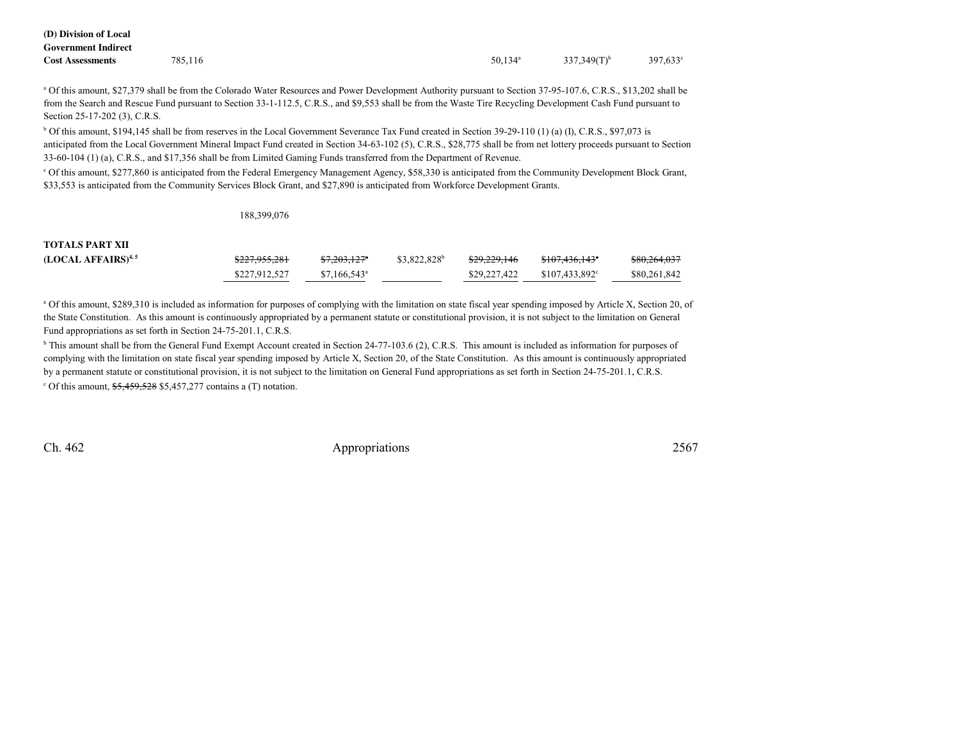| (D) Division of Local      |         |                       |                 |          |
|----------------------------|---------|-----------------------|-----------------|----------|
| <b>Government Indirect</b> |         |                       |                 |          |
| <b>Cost Assessments</b>    | 785,116 | $50.134$ <sup>a</sup> | 337,349 $(T)^b$ | 397,633° |

<sup>a</sup> Of this amount, \$27,379 shall be from the Colorado Water Resources and Power Development Authority pursuant to Section 37-95-107.6, C.R.S., \$13,202 shall be from the Search and Rescue Fund pursuant to Section 33-1-112.5, C.R.S., and \$9,553 shall be from the Waste Tire Recycling Development Cash Fund pursuant toSection 25-17-202 (3), C.R.S.

b Of this amount, \$194,145 shall be from reserves in the Local Government Severance Tax Fund created in Section 39-29-110 (1) (a) (I), C.R.S., \$97,073 isanticipated from the Local Government Mineral Impact Fund created in Section 34-63-102 (5), C.R.S., \$28,775 shall be from net lottery proceeds pursuant to Section 33-60-104 (1) (a), C.R.S., and \$17,356 shall be from Limited Gaming Funds transferred from the Department of Revenue.

c Of this amount, \$277,860 is anticipated from the Federal Emergency Management Agency, \$58,330 is anticipated from the Community Development Block Grant,\$33,553 is anticipated from the Community Services Block Grant, and \$27,890 is anticipated from Workforce Development Grants.

#### 188,399,076

## **TOTALS PART XII**

| (LOCAL AFFAIRS) <sup>4, 5</sup> | <del>\$227,955,281</del> | <del>\$7.203.127</del> *  | \$3.822.828 <sup>b</sup> | <del>\$29.229.146</del> | <del>\$107,436,143</del> °  | \$80,264,037 |
|---------------------------------|--------------------------|---------------------------|--------------------------|-------------------------|-----------------------------|--------------|
|                                 | \$227.912.527            | $$7.166.543$ <sup>a</sup> |                          | \$29,227,422            | $$107.433.892$ <sup>c</sup> | \$80,261,842 |

a Of this amount, \$289,310 is included as information for purposes of complying with the limitation on state fiscal year spending imposed by Article X, Section 20, of the State Constitution. As this amount is continuously appropriated by a permanent statute or constitutional provision, it is not subject to the limitation on GeneralFund appropriations as set forth in Section 24-75-201.1, C.R.S.

<sup>b</sup> This amount shall be from the General Fund Exempt Account created in Section 24-77-103.6 (2), C.R.S. This amount is included as information for purposes of complying with the limitation on state fiscal year spending imposed by Article X, Section 20, of the State Constitution. As this amount is continuously appropriatedby a permanent statute or constitutional provision, it is not subject to the limitation on General Fund appropriations as set forth in Section 24-75-201.1, C.R.S.  $\degree$  Of this amount,  $\frac{$5,459,528}{$5,457,277}$  contains a (T) notation.

Ch. 462